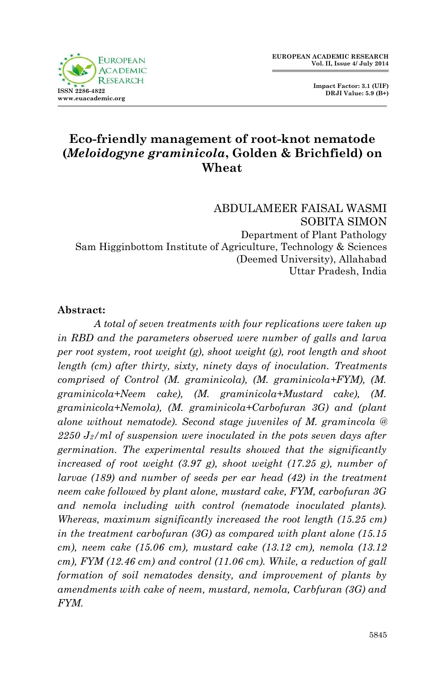

 **Impact Factor: 3.1 (UIF) DRJI Value: 5.9 (B+)**

# **Eco-friendly management of root-knot nematode (***Meloidogyne graminicola***, Golden & Brichfield) on Wheat**

ABDULAMEER FAISAL WASMI SOBITA SIMON Department of Plant Pathology Sam Higginbottom Institute of Agriculture, Technology & Sciences (Deemed University), Allahabad Uttar Pradesh, India

#### **Abstract:**

*A total of seven treatments with four replications were taken up in RBD and the parameters observed were number of galls and larva per root system, root weight (g), shoot weight (g), root length and shoot length (cm) after thirty, sixty, ninety days of inoculation. Treatments comprised of Control (M. graminicola), (M. graminicola+FYM), (M. graminicola+Neem cake), (M. graminicola+Mustard cake), (M. graminicola+Nemola), (M. graminicola+Carbofuran 3G) and (plant alone without nematode). Second stage juveniles of M. gramincola @ 2250 J2/ml of suspension were inoculated in the pots seven days after germination. The experimental results showed that the significantly increased of root weight (3.97 g), shoot weight (17.25 g), number of larvae (189) and number of seeds per ear head (42) in the treatment neem cake followed by plant alone, mustard cake, FYM, carbofuran 3G and nemola including with control (nematode inoculated plants). Whereas, maximum significantly increased the root length (15.25 cm) in the treatment carbofuran (3G) as compared with plant alone (15.15 cm), neem cake (15.06 cm), mustard cake (13.12 cm), nemola (13.12 cm), FYM (12.46 cm) and control (11.06 cm). While, a reduction of gall formation of soil nematodes density, and improvement of plants by amendments with cake of neem, mustard, nemola, Carbfuran (3G) and FYM.*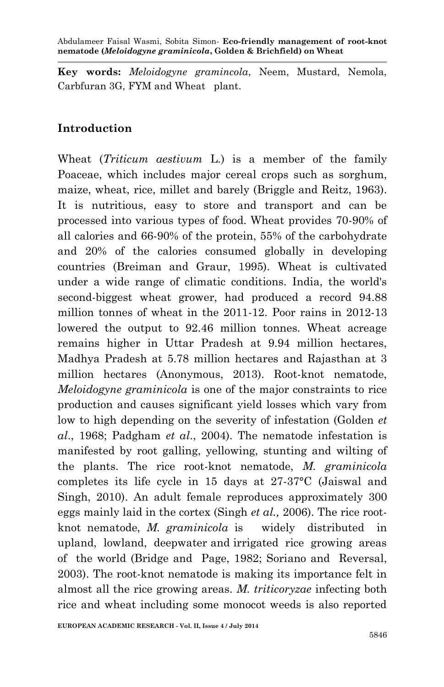**Key words:** *Meloidogyne gramincola*, Neem, Mustard, Nemola, Carbfuran 3G, FYM and Wheat plant.

### **Introduction**

Wheat (*Triticum aestivum* L.) is a member of the family Poaceae, which includes major cereal crops such as sorghum, maize, wheat, rice, millet and barely (Briggle and Reitz, 1963). It is nutritious, easy to store and transport and can be processed into various types of food. Wheat provides 70-90% of all calories and 66-90% of the protein, 55% of the carbohydrate and 20% of the calories consumed globally in developing countries (Breiman and Graur, 1995). Wheat is cultivated under a wide range of climatic conditions. India, the world's second-biggest wheat grower, had produced a record 94.88 million tonnes of wheat in the 2011-12. Poor rains in 2012-13 lowered the output to 92.46 million tonnes. Wheat acreage remains higher in Uttar Pradesh at 9.94 million hectares, Madhya Pradesh at 5.78 million hectares and Rajasthan at 3 million hectares (Anonymous, 2013). Root-knot nematode, *Meloidogyne graminicola* is one of the major constraints to rice production and causes significant yield losses which vary from low to high depending on the severity of infestation (Golden *et al*., 1968; Padgham *et al*., 2004). The nematode infestation is manifested by root galling, yellowing, stunting and wilting of the plants. The rice root-knot nematode, *M. graminicola* completes its life cycle in 15 days at 27-37°C (Jaiswal and Singh, 2010). An adult female reproduces approximately 300 eggs mainly laid in the cortex (Singh *et al.,* 2006). The rice rootknot nematode, *M. graminicola* is widely distributed in upland, lowland, deepwater and irrigated rice growing areas of the world (Bridge and Page, 1982; Soriano and Reversal, 2003). The root-knot nematode is making its importance felt in almost all the rice growing areas. *M. triticoryzae* infecting both rice and wheat including some monocot weeds is also reported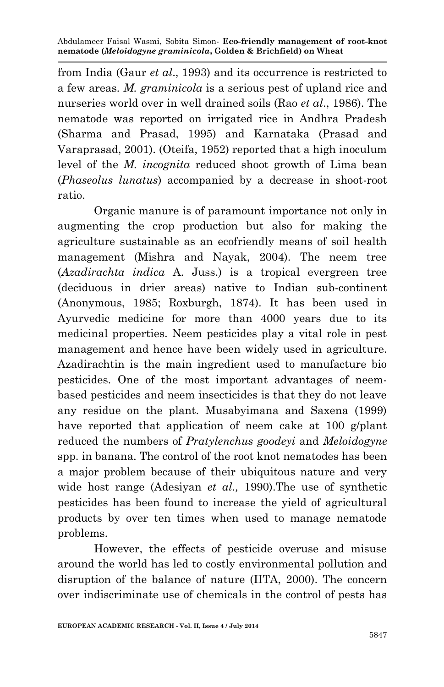from India (Gaur *et al*., 1993) and its occurrence is restricted to a few areas. *M. graminicola* is a serious pest of upland rice and nurseries world over in well drained soils (Rao *et al*., 1986). The nematode was reported on irrigated rice in Andhra Pradesh (Sharma and Prasad, 1995) and Karnataka (Prasad and Varaprasad, 2001). (Oteifa, 1952) reported that a high inoculum level of the *M. incognita* reduced shoot growth of Lima bean (*Phaseolus lunatus*) accompanied by a decrease in shoot-root ratio.

Organic manure is of paramount importance not only in augmenting the crop production but also for making the agriculture sustainable as an ecofriendly means of soil health management (Mishra and Nayak, 2004). The neem tree (*Azadirachta indica* A. Juss.) is a tropical evergreen tree (deciduous in drier areas) native to Indian sub-continent (Anonymous, 1985; Roxburgh, 1874). It has been used in Ayurvedic medicine for more than 4000 years due to its medicinal properties. Neem pesticides play a vital role in pest management and hence have been widely used in agriculture. Azadirachtin is the main ingredient used to manufacture bio pesticides. One of the most important advantages of neembased pesticides and neem insecticides is that they do not leave any residue on the plant. Musabyimana and Saxena (1999) have reported that application of neem cake at 100 g/plant reduced the numbers of *Pratylenchus goodeyi* and *Meloidogyne*  spp. in banana. The control of the root knot nematodes has been a major problem because of their ubiquitous nature and very wide host range (Adesiyan *et al.,* 1990).The use of synthetic pesticides has been found to increase the yield of agricultural products by over ten times when used to manage nematode problems.

However, the effects of pesticide overuse and misuse around the world has led to costly environmental pollution and disruption of the balance of nature (IITA, 2000). The concern over indiscriminate use of chemicals in the control of pests has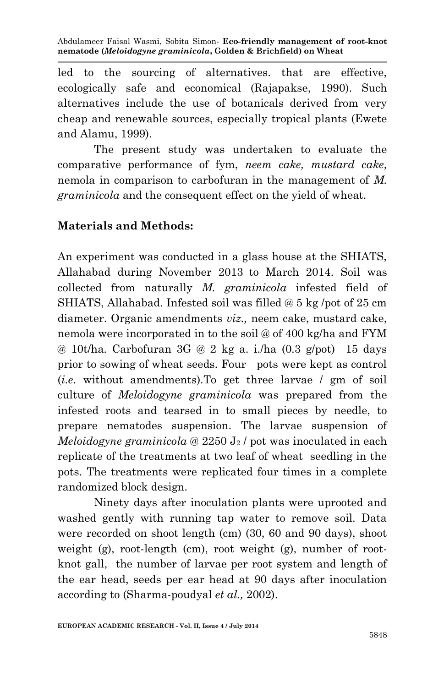led to the sourcing of alternatives. that are effective, ecologically safe and economical (Rajapakse, 1990). Such alternatives include the use of botanicals derived from very cheap and renewable sources, especially tropical plants (Ewete and Alamu, 1999).

The present study was undertaken to evaluate the comparative performance of fym, *neem cake, mustard cake,*  nemola in comparison to carbofuran in the management of *M. graminicola* and the consequent effect on the yield of wheat*.*

### **Materials and Methods:**

An experiment was conducted in a glass house at the SHIATS, Allahabad during November 2013 to March 2014. Soil was collected from naturally *M. graminicola* infested field of SHIATS, Allahabad. Infested soil was filled @ 5 kg /pot of 25 cm diameter. Organic amendments *viz.,* neem cake, mustard cake, nemola were incorporated in to the soil @ of 400 kg/ha and FYM @ 10t/ha. Carbofuran 3G @ 2 kg a. i./ha  $(0.3 \text{ g}/\text{pot})$  15 days prior to sowing of wheat seeds. Four pots were kept as control (*i.e*. without amendments).To get three larvae / gm of soil culture of *Meloidogyne graminicola* was prepared from the infested roots and tearsed in to small pieces by needle, to prepare nematodes suspension. The larvae suspension of *Meloidogyne graminicola* @ 2250 J<sup>2</sup> / pot was inoculated in each replicate of the treatments at two leaf of wheat seedling in the pots. The treatments were replicated four times in a complete randomized block design.

Ninety days after inoculation plants were uprooted and washed gently with running tap water to remove soil. Data were recorded on shoot length (cm) (30, 60 and 90 days), shoot weight (g), root-length (cm), root weight (g), number of rootknot gall, the number of larvae per root system and length of the ear head, seeds per ear head at 90 days after inoculation according to (Sharma-poudyal *et al.,* 2002).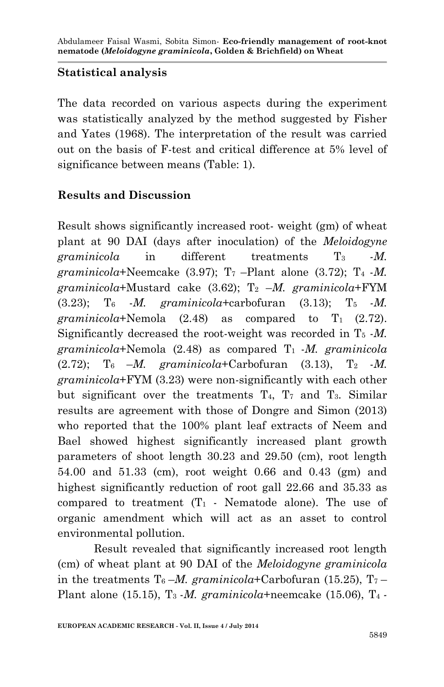## **Statistical analysis**

The data recorded on various aspects during the experiment was statistically analyzed by the method suggested by Fisher and Yates (1968). The interpretation of the result was carried out on the basis of F-test and critical difference at 5% level of significance between means (Table: 1).

## **Results and Discussion**

Result shows significantly increased root- weight (gm) of wheat plant at 90 DAI (days after inoculation) of the *Meloidogyne*  graminicola in different treatments  $T_3$  *-M*. *graminicola*+Neemcake  $(3.97)$ ;  $T_7$  –Plant alone  $(3.72)$ ;  $T_4$  -*M*.  $graminicola+Mustard$  cake  $(3.62)$ ;  $T_2$  –*M. graminicola*+FYM  $(3.23)$ ; T<sub>6</sub> *-M. graminicola*+carbofuran  $(3.13)$ ; T<sub>5</sub> *-M. graminicola*+Nemola  $(2.48)$  as compared to  $T_1$   $(2.72)$ . Significantly decreased the root-weight was recorded in  $T_5$  -*M*. *graminicola*+Nemola (2.48) as compared T1 -*M. graminicola*   $(2.72)$ ; T<sub>6</sub> –*M.* graminicola+Carbofuran (3.13), T<sub>2</sub> –*M. graminicola*+FYM (3.23) were non-significantly with each other but significant over the treatments  $T_4$ ,  $T_7$  and  $T_3$ . Similar results are agreement with those of Dongre and Simon (2013) who reported that the 100% plant leaf extracts of Neem and Bael showed highest significantly increased plant growth parameters of shoot length 30.23 and 29.50 (cm), root length 54.00 and 51.33 (cm), root weight 0.66 and 0.43 (gm) and highest significantly reduction of root gall 22.66 and 35.33 as compared to treatment  $(T_1$  - Nematode alone). The use of organic amendment which will act as an asset to control environmental pollution.

Result revealed that significantly increased root length (cm) of wheat plant at 90 DAI of the *Meloidogyne graminicola* in the treatments  $T_6 - M$ , graminicola+Carbofuran (15.25),  $T_7 -$ Plant alone (15.15), T3 -*M. graminicola*+neemcake (15.06), T4 *-*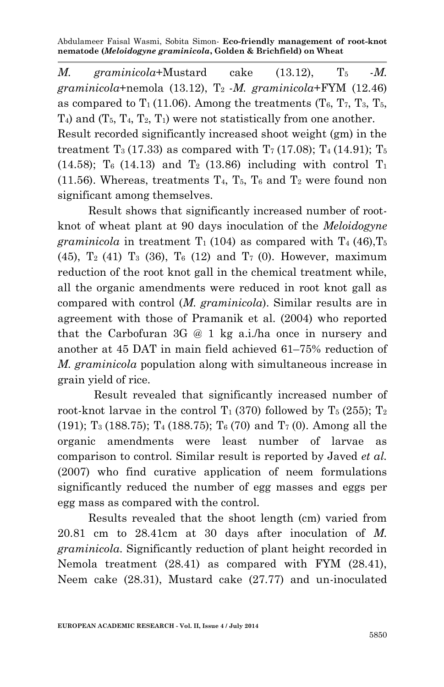*M.* graminicola+Mustard cake  $(13.12)$ ,  $T_5$  *-M.*  $graminicola + nemola (13.12), T_2$  *-M. graminicola* + FYM  $(12.46)$ as compared to  $T_1$  (11.06). Among the treatments (T<sub>6</sub>, T<sub>7</sub>, T<sub>3</sub>, T<sub>5</sub>,  $T_4$ ) and  $(T_5, T_4, T_2, T_1)$  were not statistically from one another. Result recorded significantly increased shoot weight (gm) in the treatment  $T_3$  (17.33) as compared with  $T_7$  (17.08);  $T_4$  (14.91);  $T_5$ (14.58);  $T_6$  (14.13) and  $T_2$  (13.86) including with control  $T_1$ (11.56). Whereas, treatments  $T_4$ ,  $T_5$ ,  $T_6$  and  $T_2$  were found non significant among themselves.

 Result shows that significantly increased number of rootknot of wheat plant at 90 days inoculation of the *Meloidogyne graminicola* in treatment  $T_1$  (104) as compared with  $T_4$  (46),  $T_5$ (45),  $T_2$  (41)  $T_3$  (36),  $T_6$  (12) and  $T_7$  (0). However, maximum reduction of the root knot gall in the chemical treatment while, all the organic amendments were reduced in root knot gall as compared with control (*M. graminicola*). Similar results are in agreement with those of Pramanik et al. (2004) who reported that the Carbofuran 3G @ 1 kg a.i./ha once in nursery and another at 45 DAT in main field achieved 61–75% reduction of *M. graminicola* population along with simultaneous increase in grain yield of rice.

Result revealed that significantly increased number of root-knot larvae in the control  $T_1$  (370) followed by  $T_5$  (255);  $T_2$ (191); T<sub>3</sub> (188.75); T<sub>4</sub> (188.75); T<sub>6</sub> (70) and T<sub>7</sub> (0). Among all the organic amendments were least number of larvae as comparison to control. Similar result is reported by Javed *et al.* (2007) who find curative application of neem formulations significantly reduced the number of egg masses and eggs per egg mass as compared with the control.

 Results revealed that the shoot length (cm) varied from 20.81 cm to 28.41cm at 30 days after inoculation of *M. graminicola*. Significantly reduction of plant height recorded in Nemola treatment (28.41) as compared with FYM (28.41), Neem cake (28.31), Mustard cake (27.77) and un-inoculated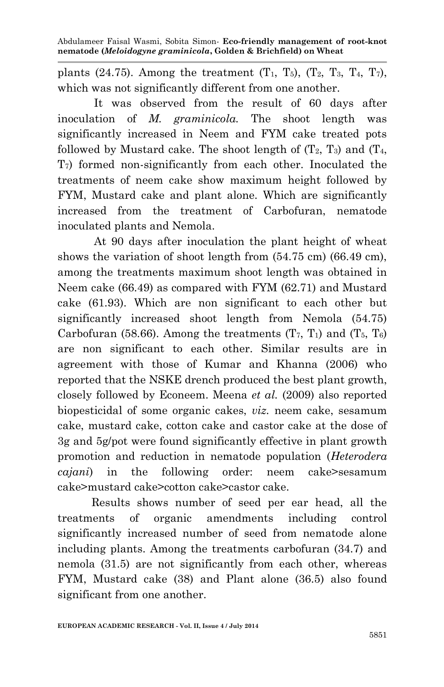plants (24.75). Among the treatment  $(T_1, T_5)$ ,  $(T_2, T_3, T_4, T_7)$ , which was not significantly different from one another.

It was observed from the result of 60 days after inoculation of *M. graminicola.* The shoot length was significantly increased in Neem and FYM cake treated pots followed by Mustard cake. The shoot length of  $(T_2, T_3)$  and  $(T_4, T_5)$ T7) formed non-significantly from each other. Inoculated the treatments of neem cake show maximum height followed by FYM, Mustard cake and plant alone. Which are significantly increased from the treatment of Carbofuran, nematode inoculated plants and Nemola.

At 90 days after inoculation the plant height of wheat shows the variation of shoot length from (54.75 cm) (66.49 cm), among the treatments maximum shoot length was obtained in Neem cake (66.49) as compared with FYM (62.71) and Mustard cake (61.93). Which are non significant to each other but significantly increased shoot length from Nemola (54.75) Carbofuran (58.66). Among the treatments  $(T_7, T_1)$  and  $(T_5, T_6)$ are non significant to each other. Similar results are in agreement with those of Kumar and Khanna (2006) who reported that the NSKE drench produced the best plant growth, closely followed by Econeem. Meena *et al.* (2009) also reported biopesticidal of some organic cakes, *viz.* neem cake, sesamum cake, mustard cake, cotton cake and castor cake at the dose of 3g and 5g/pot were found significantly effective in plant growth promotion and reduction in nematode population (*Heterodera cajani*) in the following order: neem cake>sesamum cake>mustard cake>cotton cake>castor cake.

 Results shows number of seed per ear head, all the treatments of organic amendments including control significantly increased number of seed from nematode alone including plants. Among the treatments carbofuran (34.7) and nemola (31.5) are not significantly from each other, whereas FYM, Mustard cake (38) and Plant alone (36.5) also found significant from one another.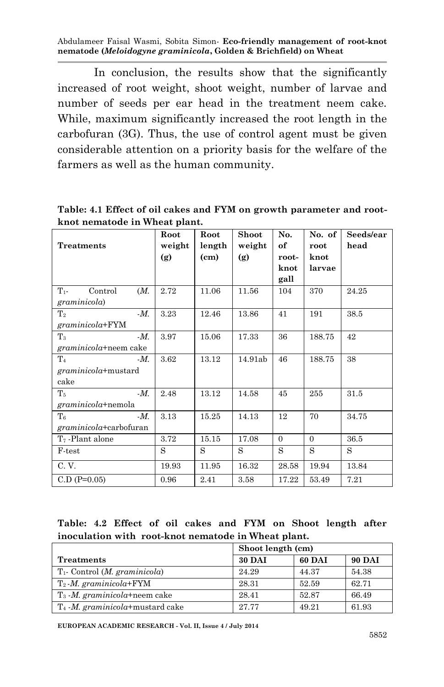In conclusion, the results show that the significantly increased of root weight, shoot weight, number of larvae and number of seeds per ear head in the treatment neem cake. While, maximum significantly increased the root length in the carbofuran (3G). Thus, the use of control agent must be given considerable attention on a priority basis for the welfare of the farmers as well as the human community.

**Table: 4.1 Effect of oil cakes and FYM on growth parameter and rootknot nematode in Wheat plant.**

|                             | Root   | Root              | <b>Shoot</b> | No.      | No. of   | Seeds/ear |
|-----------------------------|--------|-------------------|--------------|----------|----------|-----------|
| <b>Treatments</b>           | weight | length            | weight       | оf       | root     | head      |
|                             | (g)    | (c <sub>m</sub> ) | (g)          | root-    | knot     |           |
|                             |        |                   |              | knot     | larvae   |           |
|                             |        |                   |              | gall     |          |           |
| Control<br>$T_{1}$<br>(M.   | 2.72   | 11.06             | 11.56        | 104      | 370      | 24.25     |
| graminicola)                |        |                   |              |          |          |           |
| $-M$ .<br>$\rm T_2$         | 3.23   | 12.46             | 13.86        | 41       | 191      | 38.5      |
| $graminicola + FYM$         |        |                   |              |          |          |           |
| $\rm T_3$<br>$-M$ .         | 3.97   | 15.06             | 17.33        | 36       | 188.75   | 42        |
| graminicola+neem cake       |        |                   |              |          |          |           |
| $\rm T_4$<br>$-M$ .         | 3.62   | 13.12             | 14.91ab      | 46       | 188.75   | 38        |
| graminicola+mustard         |        |                   |              |          |          |           |
| cake                        |        |                   |              |          |          |           |
| $-M$ .<br>$\mathrm{T}_5$    | 2.48   | 13.12             | 14.58        | 45       | 255      | 31.5      |
| graminicola+nemola          |        |                   |              |          |          |           |
| $T_6$<br>$-M$ .             | 3.13   | 15.25             | 14.13        | 12       | 70       | 34.75     |
| $gramini cola + carbofuran$ |        |                   |              |          |          |           |
| T <sub>7</sub> -Plant alone | 3.72   | 15.15             | 17.08        | $\Omega$ | $\Omega$ | 36.5      |
| F-test                      | S      | S                 | S            | S        | S        | S         |
| C.V.                        | 19.93  | 11.95             | 16.32        | 28.58    | 19.94    | 13.84     |
| $C.D (P=0.05)$              | 0.96   | 2.41              | 3.58         | 17.22    | 53.49    | 7.21      |

#### **Table: 4.2 Effect of oil cakes and FYM on Shoot length after inoculation with root-knot nematode in Wheat plant.**

|                                             | Shoot length (cm) |        |               |
|---------------------------------------------|-------------------|--------|---------------|
| <b>Treatments</b>                           | <b>30 DAI</b>     | 60 DAI | <b>90 DAI</b> |
| $T_1$ - Control ( <i>M. graminicola</i> )   | 24.29             | 44.37  | 54.38         |
| $T_2$ - <i>M.</i> graminicola+FYM           | 28.31             | 52.59  | 62.71         |
| $T_3$ - <i>M. graminicola</i> +neem cake    | 28.41             | 52.87  | 66.49         |
| $T_4$ - <i>M. graminicola</i> +mustard cake | 27 77             | 49.21  | 61.93         |

**EUROPEAN ACADEMIC RESEARCH - Vol. II, Issue 4 / July 2014**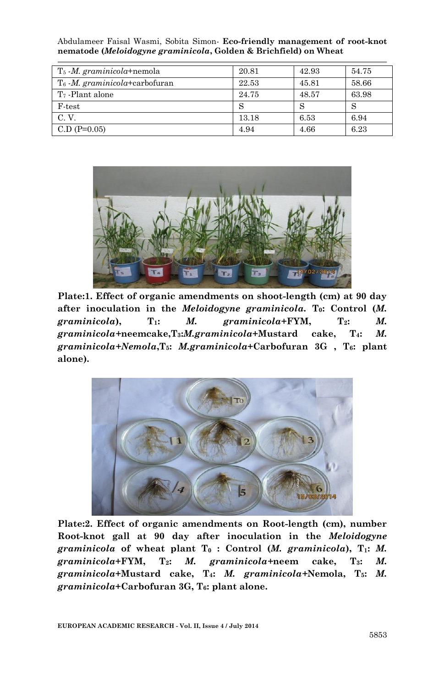| $T_5$ - <i>M. graminicola</i> +nemola   | 20.81 | 42.93 | 54.75 |
|-----------------------------------------|-------|-------|-------|
| $T_6$ <i>M. graminicola</i> +carbofuran | 22.53 | 45.81 | 58.66 |
| $T7$ -Plant alone                       | 24.75 | 48.57 | 63.98 |
| $F-test$                                |       |       |       |
| C. V.                                   | 13.18 | 6.53  | 6.94  |
| $C.D (P=0.05)$                          | 4.94  | 4.66  | 6.23  |

Abdulameer Faisal Wasmi, Sobita Simon*-* **Eco-friendly management of root-knot nematode (***Meloidogyne graminicola***, Golden & Brichfield) on Wheat**



**Plate:1. Effect of organic amendments on shoot-length (cm) at 90 day after inoculation in the** *Meloidogyne graminicola.* **T0: Control (***M. graminicola***), T1:** *M. graminicola***+FYM, T2:** *M. graminicola+***neemcake,T3:***M.graminicola***+Mustard cake, T4:** *M. graminicola+Nemola***,T5:** *M.graminicola***+Carbofuran 3G , T6: plant alone).**



**Plate:2. Effect of organic amendments on Root-length (cm), number Root-knot gall at 90 day after inoculation in the** *Meloidogyne graminicola* **of wheat plant T<sup>0</sup> : Control (***M. graminicola***), T1:** *M. graminicola***+FYM, T2:** *M. graminicola+***neem cake, T3:** *M. graminicola***+Mustard cake, T4:** *M. graminicola+***Nemola, T5:** *M. graminicola***+Carbofuran 3G, T6: plant alone.**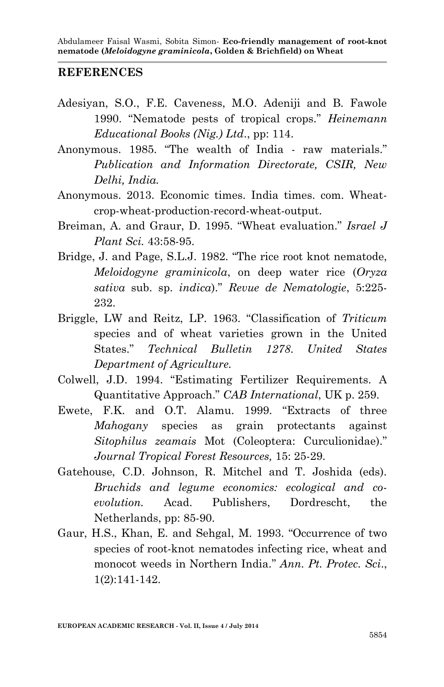#### **REFERENCES**

- Adesiyan, S.O., F.E. Caveness, M.O. Adeniji and B. Fawole 1990. "Nematode pests of tropical crops." *Heinemann Educational Books (Nig.) Ltd*., pp: 114.
- Anonymous. 1985. "The wealth of India raw materials." *Publication and Information Directorate, CSIR, New Delhi, India.*
- Anonymous. 2013. Economic times. India times. com. Wheatcrop-wheat-production-record-wheat-output.
- Breiman, A. and Graur, D. 1995. "Wheat evaluation." *Israel J Plant Sci.* 43:58-95.
- Bridge, J. and Page, S.L.J. 1982. "The rice root knot nematode, *Meloidogyne graminicola*, on deep water rice (*Oryza sativa* sub. sp. *indica*)." *Revue de Nematologie*, 5:225- 232.
- Briggle, LW and Reitz, LP. 1963. "Classification of *Triticum* species and of wheat varieties grown in the United States." *Technical Bulletin 1278*. *United States Department of Agriculture.*
- Colwell, J.D. 1994. "Estimating Fertilizer Requirements. A Quantitative Approach." *CAB International*, UK p. 259.
- Ewete, F.K. and O.T. Alamu. 1999. "Extracts of three *Mahogany* species as grain protectants against *Sitophilus zeamais* Mot (Coleoptera: Curculionidae)." *Journal Tropical Forest Resources,* 15: 25-29.
- Gatehouse, C.D. Johnson, R. Mitchel and T. Joshida (eds). *Bruchids and legume economics: ecological and coevolution.* Acad. Publishers, Dordrescht, the Netherlands, pp: 85-90.
- Gaur, H.S., Khan, E. and Sehgal, M. 1993. "Occurrence of two species of root-knot nematodes infecting rice, wheat and monocot weeds in Northern India." *Ann. Pt. Protec. Sci*., 1(2):141-142.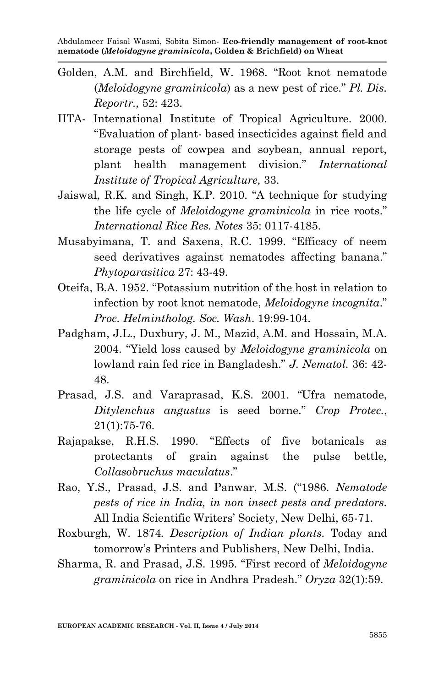- Golden, A.M. and Birchfield, W. 1968. "Root knot nematode (*Meloidogyne graminicola*) as a new pest of rice." *Pl. Dis. Reportr.,* 52: 423.
- IITA- International Institute of Tropical Agriculture. 2000. "Evaluation of plant- based insecticides against field and storage pests of cowpea and soybean, annual report, plant health management division." *International Institute of Tropical Agriculture,* 33.
- Jaiswal, R.K. and Singh, K.P. 2010. "A technique for studying the life cycle of *Meloidogyne graminicola* in rice roots." *International Rice Res. Notes* 35: 0117-4185.
- Musabyimana, T. and Saxena, R.C. 1999. "Efficacy of neem seed derivatives against nematodes affecting banana." *Phytoparasitica* 27: 43-49.
- Oteifa, B.A. 1952. "Potassium nutrition of the host in relation to infection by root knot nematode, *Meloidogyne incognita*." *Proc. Helmintholog. Soc. Wash*. 19:99-104.
- Padgham, J.L., Duxbury, J. M., Mazid, A.M. and Hossain, M.A. 2004. "Yield loss caused by *Meloidogyne graminicola* on lowland rain fed rice in Bangladesh." *J. Nematol.* 36: 42- 48.
- Prasad, J.S. and Varaprasad, K.S. 2001. "Ufra nematode, *Ditylenchus angustus* is seed borne." *Crop Protec.*, 21(1):75-76.
- Rajapakse, R.H.S. 1990. "Effects of five botanicals as protectants of grain against the pulse bettle, *Collasobruchus maculatus*."
- Rao, Y.S., Prasad, J.S. and Panwar, M.S. ("1986. *Nematode pests of rice in India, in non insect pests and predators.* All India Scientific Writers' Society, New Delhi, 65-71.
- Roxburgh, W. 1874*. Description of Indian plants.* Today and tomorrow's Printers and Publishers, New Delhi, India.
- Sharma, R. and Prasad, J.S. 1995. "First record of *Meloidogyne graminicola* on rice in Andhra Pradesh." *Oryza* 32(1):59.